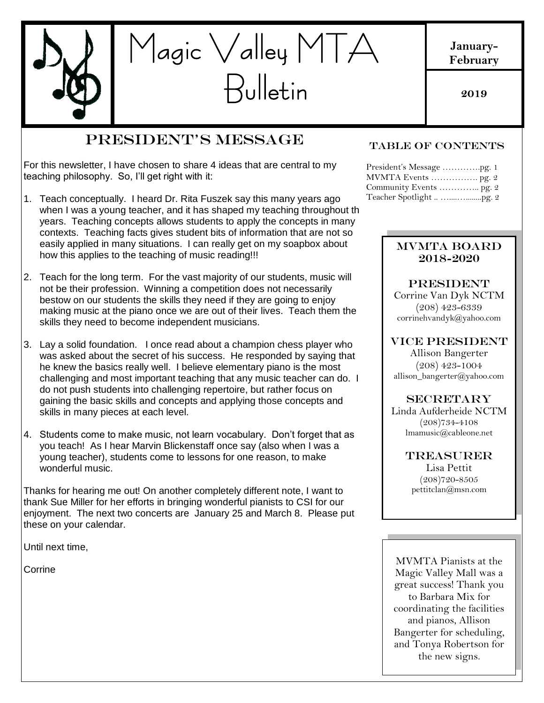